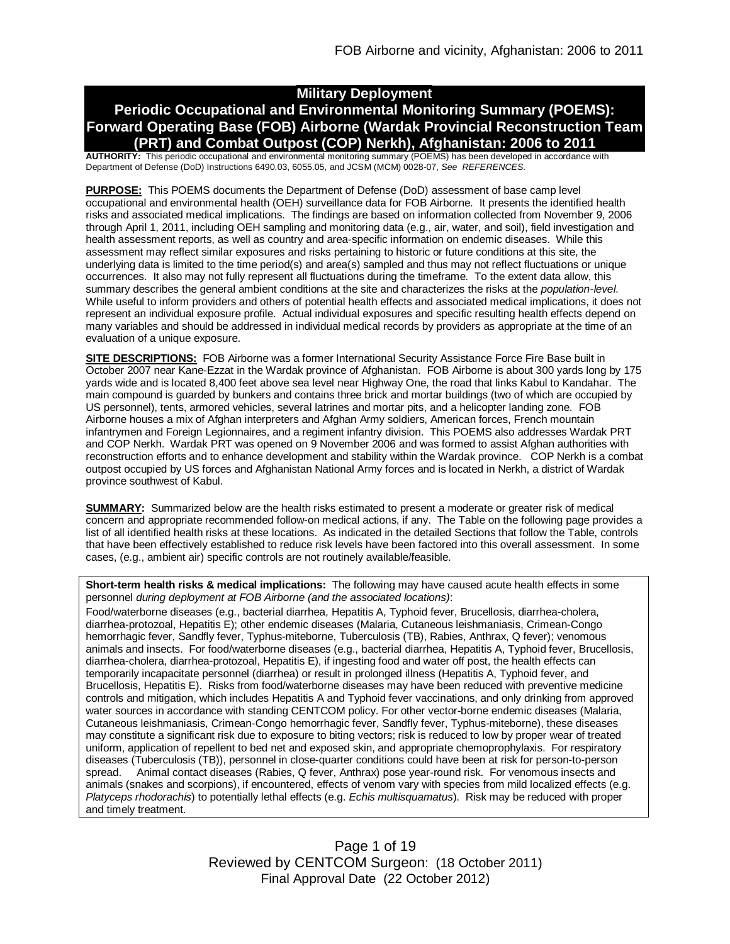# **Military Deployment**

# **Periodic Occupational and Environmental Monitoring Summary (POEMS): Forward Operating Base (FOB) Airborne (Wardak Provincial Reconstruction Team (PRT) and Combat Outpost (COP) Nerkh), Afghanistan: 2006 to 2011**

**AUTHORITY:** This periodic occupational and environmental monitoring summary (POEMS) has been developed in accordance with Department of Defense (DoD) Instructions 6490.03, 6055.05, and JCSM (MCM) 0028-07, *See REFERENCES.*

**PURPOSE:** This POEMS documents the Department of Defense (DoD) assessment of base camp level occupational and environmental health (OEH) surveillance data for FOB Airborne. It presents the identified health risks and associated medical implications. The findings are based on information collected from November 9, 2006 through April 1, 2011, including OEH sampling and monitoring data (e.g., air, water, and soil), field investigation and health assessment reports, as well as country and area-specific information on endemic diseases. While this assessment may reflect similar exposures and risks pertaining to historic or future conditions at this site, the underlying data is limited to the time period(s) and area(s) sampled and thus may not reflect fluctuations or unique occurrences. It also may not fully represent all fluctuations during the timeframe. To the extent data allow, this summary describes the general ambient conditions at the site and characterizes the risks at the *population-level*. While useful to inform providers and others of potential health effects and associated medical implications, it does not represent an individual exposure profile. Actual individual exposures and specific resulting health effects depend on many variables and should be addressed in individual medical records by providers as appropriate at the time of an evaluation of a unique exposure.

**SITE DESCRIPTIONS:** FOB Airborne was a former International Security Assistance Force Fire Base built in October 2007 near Kane-Ezzat in the Wardak province of Afghanistan. FOB Airborne is about 300 yards long by 175 yards wide and is located 8,400 feet above sea level near Highway One, the road that links Kabul to Kandahar. The main compound is guarded by bunkers and contains three brick and mortar buildings (two of which are occupied by US personnel), tents, armored vehicles, several latrines and mortar pits, and a helicopter landing zone. FOB Airborne houses a mix of Afghan interpreters and Afghan Army soldiers, American forces, French mountain infantrymen and Foreign Legionnaires, and a regiment infantry division. This POEMS also addresses Wardak PRT and COP Nerkh. Wardak PRT was opened on 9 November 2006 and was formed to assist Afghan authorities with reconstruction efforts and to enhance development and stability within the Wardak province. COP Nerkh is a combat outpost occupied by US forces and Afghanistan National Army forces and is located in Nerkh, a district of Wardak province southwest of Kabul.

**SUMMARY:** Summarized below are the health risks estimated to present a moderate or greater risk of medical concern and appropriate recommended follow-on medical actions, if any. The Table on the following page provides a list of all identified health risks at these locations. As indicated in the detailed Sections that follow the Table, controls that have been effectively established to reduce risk levels have been factored into this overall assessment. In some cases, (e.g., ambient air) specific controls are not routinely available/feasible.

**Short-term health risks & medical implications:** The following may have caused acute health effects in some personnel *during deployment at FOB Airborne (and the associated locations)*:

Food/waterborne diseases (e.g., bacterial diarrhea, Hepatitis A, Typhoid fever, Brucellosis, diarrhea-cholera, diarrhea-protozoal, Hepatitis E); other endemic diseases (Malaria, Cutaneous leishmaniasis, Crimean-Congo hemorrhagic fever, Sandfly fever, Typhus-miteborne, Tuberculosis (TB), Rabies, Anthrax, Q fever); venomous animals and insects. For food/waterborne diseases (e.g., bacterial diarrhea, Hepatitis A, Typhoid fever, Brucellosis, diarrhea-cholera, diarrhea-protozoal, Hepatitis E), if ingesting food and water off post, the health effects can temporarily incapacitate personnel (diarrhea) or result in prolonged illness (Hepatitis A, Typhoid fever, and Brucellosis, Hepatitis E). Risks from food/waterborne diseases may have been reduced with preventive medicine controls and mitigation, which includes Hepatitis A and Typhoid fever vaccinations, and only drinking from approved water sources in accordance with standing CENTCOM policy. For other vector-borne endemic diseases (Malaria, Cutaneous leishmaniasis, Crimean-Congo hemorrhagic fever, Sandfly fever, Typhus-miteborne), these diseases may constitute a significant risk due to exposure to biting vectors; risk is reduced to low by proper wear of treated uniform, application of repellent to bed net and exposed skin, and appropriate chemoprophylaxis. For respiratory diseases (Tuberculosis (TB)), personnel in close-quarter conditions could have been at risk for person-to-person spread. Animal contact diseases (Rabies, Q fever, Anthrax) pose year-round risk. For venomous insects and animals (snakes and scorpions), if encountered, effects of venom vary with species from mild localized effects (e.g. *Platyceps rhodorachis*) to potentially lethal effects (e.g. *Echis multisquamatus*). Risk may be reduced with proper and timely treatment.

> Page 1 of 19 Reviewed by CENTCOM Surgeon: (18 October 2011) Final Approval Date (22 October 2012)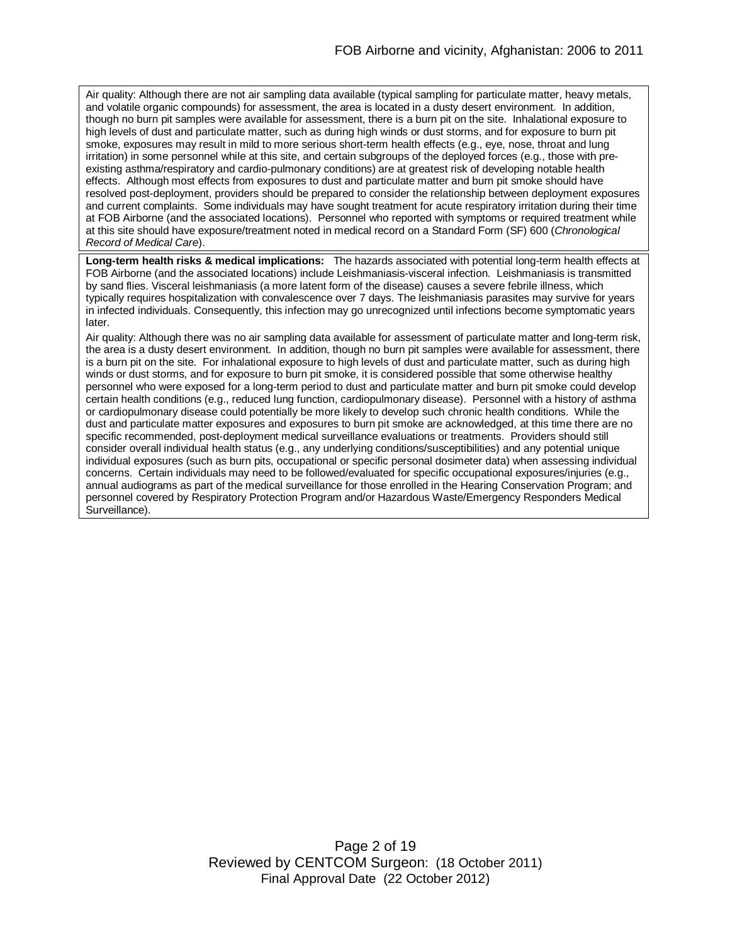Air quality: Although there are not air sampling data available (typical sampling for particulate matter, heavy metals, and volatile organic compounds) for assessment, the area is located in a dusty desert environment. In addition, though no burn pit samples were available for assessment, there is a burn pit on the site. Inhalational exposure to high levels of dust and particulate matter, such as during high winds or dust storms, and for exposure to burn pit smoke, exposures may result in mild to more serious short-term health effects (e.g., eye, nose, throat and lung irritation) in some personnel while at this site, and certain subgroups of the deployed forces (e.g., those with preexisting asthma/respiratory and cardio-pulmonary conditions) are at greatest risk of developing notable health effects. Although most effects from exposures to dust and particulate matter and burn pit smoke should have resolved post-deployment, providers should be prepared to consider the relationship between deployment exposures and current complaints. Some individuals may have sought treatment for acute respiratory irritation during their time at FOB Airborne (and the associated locations). Personnel who reported with symptoms or required treatment while at this site should have exposure/treatment noted in medical record on a Standard Form (SF) 600 (*Chronological Record of Medical Care*).

**Long-term health risks & medical implications:** The hazards associated with potential long-term health effects at FOB Airborne (and the associated locations) include Leishmaniasis-visceral infection. Leishmaniasis is transmitted by sand flies. Visceral leishmaniasis (a more latent form of the disease) causes a severe febrile illness, which typically requires hospitalization with convalescence over 7 days. The leishmaniasis parasites may survive for years in infected individuals. Consequently, this infection may go unrecognized until infections become symptomatic years later.

Air quality: Although there was no air sampling data available for assessment of particulate matter and long-term risk, the area is a dusty desert environment. In addition, though no burn pit samples were available for assessment, there is a burn pit on the site. For inhalational exposure to high levels of dust and particulate matter, such as during high winds or dust storms, and for exposure to burn pit smoke, it is considered possible that some otherwise healthy personnel who were exposed for a long-term period to dust and particulate matter and burn pit smoke could develop certain health conditions (e.g., reduced lung function, cardiopulmonary disease). Personnel with a history of asthma or cardiopulmonary disease could potentially be more likely to develop such chronic health conditions. While the dust and particulate matter exposures and exposures to burn pit smoke are acknowledged, at this time there are no specific recommended, post-deployment medical surveillance evaluations or treatments. Providers should still consider overall individual health status (e.g., any underlying conditions/susceptibilities) and any potential unique individual exposures (such as burn pits, occupational or specific personal dosimeter data) when assessing individual concerns. Certain individuals may need to be followed/evaluated for specific occupational exposures/injuries (e.g., annual audiograms as part of the medical surveillance for those enrolled in the Hearing Conservation Program; and personnel covered by Respiratory Protection Program and/or Hazardous Waste/Emergency Responders Medical Surveillance).

> Page 2 of 19 Reviewed by CENTCOM Surgeon: (18 October 2011) Final Approval Date (22 October 2012)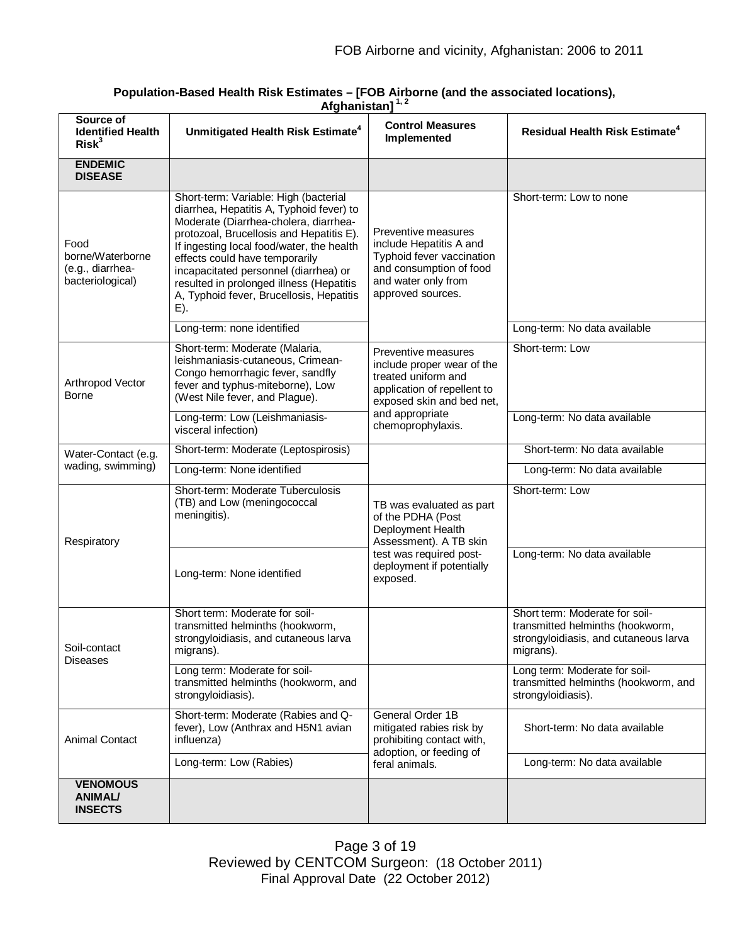**Population-Based Health Risk Estimates – [FOB Airborne (and the associated locations), Afghanistan] 1, 2**

| Source of<br><b>Identified Health</b><br>Risk <sup>3</sup>       | Unmitigated Health Risk Estimate <sup>4</sup>                                                                                                                                                                                                                                                                                                                                                    | <b>Control Measures</b><br>Implemented                                                                                                                                       | Residual Health Risk Estimate <sup>4</sup>                                                                               |
|------------------------------------------------------------------|--------------------------------------------------------------------------------------------------------------------------------------------------------------------------------------------------------------------------------------------------------------------------------------------------------------------------------------------------------------------------------------------------|------------------------------------------------------------------------------------------------------------------------------------------------------------------------------|--------------------------------------------------------------------------------------------------------------------------|
| <b>ENDEMIC</b><br><b>DISEASE</b>                                 |                                                                                                                                                                                                                                                                                                                                                                                                  |                                                                                                                                                                              |                                                                                                                          |
| Food<br>borne/Waterborne<br>(e.g., diarrhea-<br>bacteriological) | Short-term: Variable: High (bacterial<br>diarrhea, Hepatitis A, Typhoid fever) to<br>Moderate (Diarrhea-cholera, diarrhea-<br>protozoal, Brucellosis and Hepatitis E).<br>If ingesting local food/water, the health<br>effects could have temporarily<br>incapacitated personnel (diarrhea) or<br>resulted in prolonged illness (Hepatitis<br>A, Typhoid fever, Brucellosis, Hepatitis<br>$E$ ). | Preventive measures<br>include Hepatitis A and<br>Typhoid fever vaccination<br>and consumption of food<br>and water only from<br>approved sources.                           | Short-term: Low to none                                                                                                  |
|                                                                  | Long-term: none identified                                                                                                                                                                                                                                                                                                                                                                       |                                                                                                                                                                              | Long-term: No data available                                                                                             |
| Arthropod Vector<br><b>Borne</b>                                 | Short-term: Moderate (Malaria,<br>leishmaniasis-cutaneous, Crimean-<br>Congo hemorrhagic fever, sandfly<br>fever and typhus-miteborne), Low<br>(West Nile fever, and Plague).                                                                                                                                                                                                                    | Preventive measures<br>include proper wear of the<br>treated uniform and<br>application of repellent to<br>exposed skin and bed net,<br>and appropriate<br>chemoprophylaxis. | Short-term: Low                                                                                                          |
|                                                                  | Long-term: Low (Leishmaniasis-<br>visceral infection)                                                                                                                                                                                                                                                                                                                                            |                                                                                                                                                                              | Long-term: No data available                                                                                             |
| Water-Contact (e.g.                                              | Short-term: Moderate (Leptospirosis)                                                                                                                                                                                                                                                                                                                                                             |                                                                                                                                                                              | Short-term: No data available                                                                                            |
| wading, swimming)                                                | Long-term: None identified                                                                                                                                                                                                                                                                                                                                                                       |                                                                                                                                                                              | Long-term: No data available                                                                                             |
| Respiratory                                                      | Short-term: Moderate Tuberculosis<br>(TB) and Low (meningococcal<br>meningitis).                                                                                                                                                                                                                                                                                                                 | TB was evaluated as part<br>of the PDHA (Post<br>Deployment Health<br>Assessment). A TB skin                                                                                 | Short-term: Low                                                                                                          |
|                                                                  | Long-term: None identified                                                                                                                                                                                                                                                                                                                                                                       | test was required post-<br>deployment if potentially<br>exposed.                                                                                                             | Long-term: No data available                                                                                             |
| Soil-contact<br>Diseases                                         | Short term: Moderate for soil-<br>transmitted helminths (hookworm,<br>strongyloidiasis, and cutaneous larva<br>migrans).                                                                                                                                                                                                                                                                         |                                                                                                                                                                              | Short term: Moderate for soil-<br>transmitted helminths (hookworm,<br>strongyloidiasis, and cutaneous larva<br>migrans). |
|                                                                  | Long term: Moderate for soil-<br>transmitted helminths (hookworm, and<br>strongyloidiasis).                                                                                                                                                                                                                                                                                                      |                                                                                                                                                                              | Long term: Moderate for soil-<br>transmitted helminths (hookworm, and<br>strongyloidiasis).                              |
| <b>Animal Contact</b>                                            | Short-term: Moderate (Rabies and Q-<br>fever), Low (Anthrax and H5N1 avian<br>influenza)                                                                                                                                                                                                                                                                                                         | General Order 1B<br>mitigated rabies risk by<br>prohibiting contact with,<br>adoption, or feeding of                                                                         | Short-term: No data available                                                                                            |
|                                                                  | Long-term: Low (Rabies)                                                                                                                                                                                                                                                                                                                                                                          | feral animals.                                                                                                                                                               | Long-term: No data available                                                                                             |
| <b>VENOMOUS</b><br><b>ANIMAL/</b><br><b>INSECTS</b>              |                                                                                                                                                                                                                                                                                                                                                                                                  |                                                                                                                                                                              |                                                                                                                          |

Page 3 of 19 Reviewed by CENTCOM Surgeon: (18 October 2011) Final Approval Date (22 October 2012)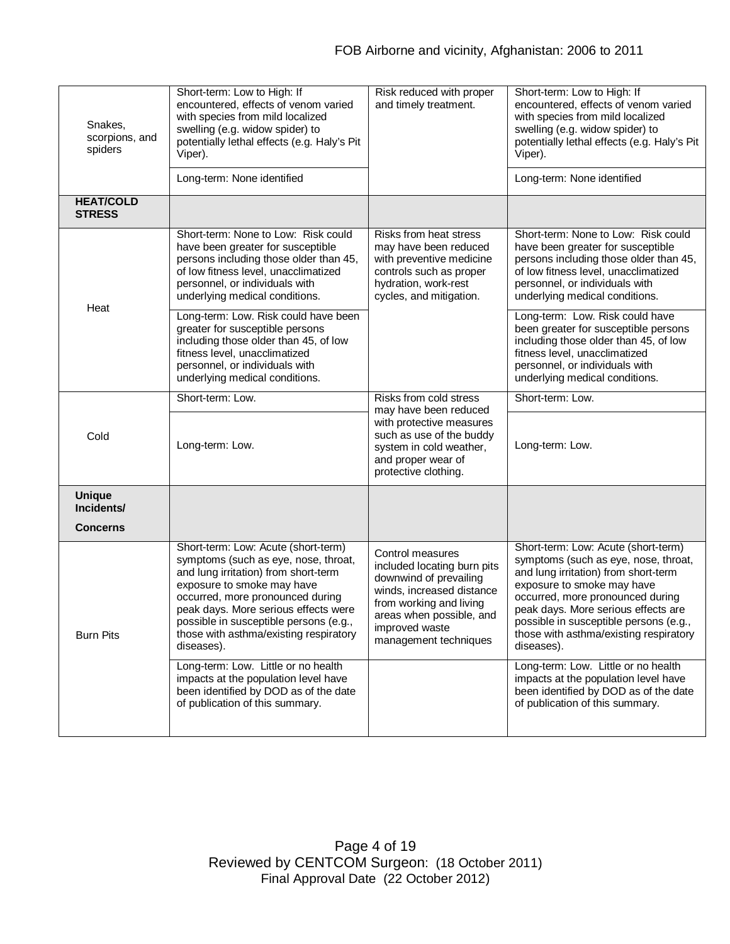| Snakes,<br>scorpions, and<br>spiders | Short-term: Low to High: If<br>encountered, effects of venom varied<br>with species from mild localized<br>swelling (e.g. widow spider) to<br>potentially lethal effects (e.g. Haly's Pit<br>Viper).                                                                                                                            | Risk reduced with proper<br>and timely treatment.                                                                                                                                                        | Short-term: Low to High: If<br>encountered, effects of venom varied<br>with species from mild localized<br>swelling (e.g. widow spider) to<br>potentially lethal effects (e.g. Haly's Pit<br>Viper).                                                                                                                           |
|--------------------------------------|---------------------------------------------------------------------------------------------------------------------------------------------------------------------------------------------------------------------------------------------------------------------------------------------------------------------------------|----------------------------------------------------------------------------------------------------------------------------------------------------------------------------------------------------------|--------------------------------------------------------------------------------------------------------------------------------------------------------------------------------------------------------------------------------------------------------------------------------------------------------------------------------|
|                                      | Long-term: None identified                                                                                                                                                                                                                                                                                                      |                                                                                                                                                                                                          | Long-term: None identified                                                                                                                                                                                                                                                                                                     |
| <b>HEAT/COLD</b><br><b>STRESS</b>    |                                                                                                                                                                                                                                                                                                                                 |                                                                                                                                                                                                          |                                                                                                                                                                                                                                                                                                                                |
| Heat                                 | Short-term: None to Low: Risk could<br>have been greater for susceptible<br>persons including those older than 45,<br>of low fitness level, unacclimatized<br>personnel, or individuals with<br>underlying medical conditions.                                                                                                  | Risks from heat stress<br>may have been reduced<br>with preventive medicine<br>controls such as proper<br>hydration, work-rest<br>cycles, and mitigation.                                                | Short-term: None to Low: Risk could<br>have been greater for susceptible<br>persons including those older than 45,<br>of low fitness level, unacclimatized<br>personnel, or individuals with<br>underlying medical conditions.                                                                                                 |
|                                      | Long-term: Low. Risk could have been<br>greater for susceptible persons<br>including those older than 45, of low<br>fitness level, unacclimatized<br>personnel, or individuals with<br>underlying medical conditions.                                                                                                           |                                                                                                                                                                                                          | Long-term: Low. Risk could have<br>been greater for susceptible persons<br>including those older than 45, of low<br>fitness level, unacclimatized<br>personnel, or individuals with<br>underlying medical conditions.                                                                                                          |
|                                      | Short-term: Low.                                                                                                                                                                                                                                                                                                                | Risks from cold stress                                                                                                                                                                                   | Short-term: Low.                                                                                                                                                                                                                                                                                                               |
| Cold                                 | Long-term: Low.                                                                                                                                                                                                                                                                                                                 | may have been reduced<br>with protective measures<br>such as use of the buddy<br>system in cold weather,<br>and proper wear of<br>protective clothing.                                                   | Long-term: Low.                                                                                                                                                                                                                                                                                                                |
| <b>Unique</b><br>Incidents/          |                                                                                                                                                                                                                                                                                                                                 |                                                                                                                                                                                                          |                                                                                                                                                                                                                                                                                                                                |
| <b>Concerns</b>                      |                                                                                                                                                                                                                                                                                                                                 |                                                                                                                                                                                                          |                                                                                                                                                                                                                                                                                                                                |
| <b>Burn Pits</b>                     | Short-term: Low: Acute (short-term)<br>symptoms (such as eye, nose, throat,<br>and lung irritation) from short-term<br>exposure to smoke may have<br>occurred, more pronounced during<br>peak days. More serious effects were<br>possible in susceptible persons (e.g.,<br>those with asthma/existing respiratory<br>diseases). | Control measures<br>included locating burn pits<br>downwind of prevailing<br>winds, increased distance<br>from working and living<br>areas when possible, and<br>improved waste<br>management techniques | Short-term: Low: Acute (short-term)<br>symptoms (such as eye, nose, throat,<br>and lung irritation) from short-term<br>exposure to smoke may have<br>occurred, more pronounced during<br>peak days. More serious effects are<br>possible in susceptible persons (e.g.,<br>those with asthma/existing respiratory<br>diseases). |
|                                      | Long-term: Low. Little or no health<br>impacts at the population level have<br>been identified by DOD as of the date<br>of publication of this summary.                                                                                                                                                                         |                                                                                                                                                                                                          | Long-term: Low. Little or no health<br>impacts at the population level have<br>been identified by DOD as of the date<br>of publication of this summary.                                                                                                                                                                        |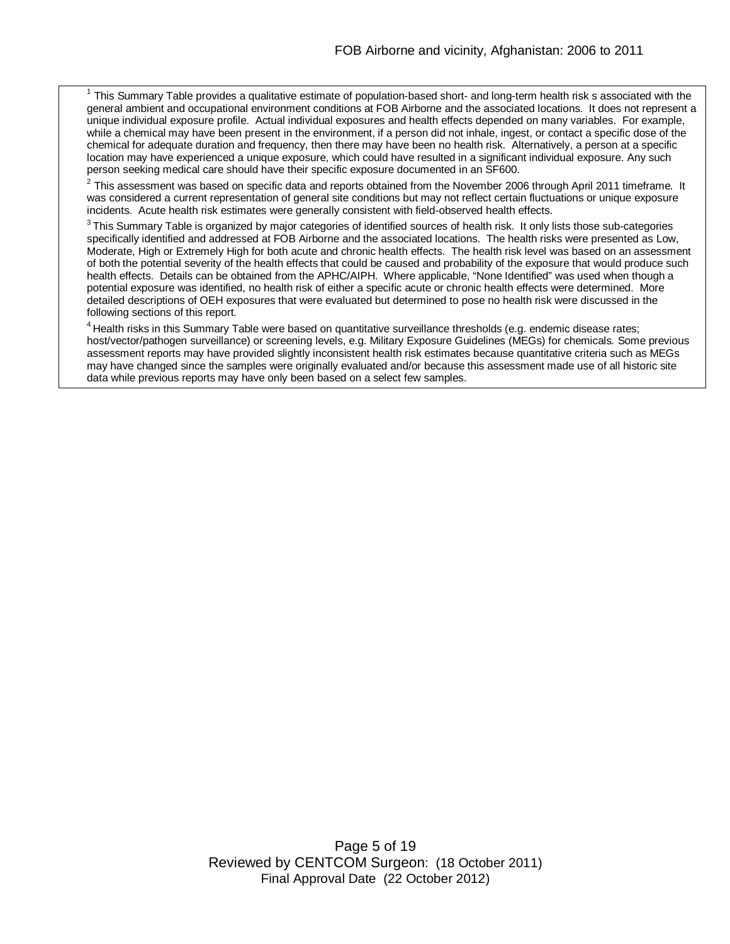$1$  This Summary Table provides a qualitative estimate of population-based short- and long-term health risk s associated with the general ambient and occupational environment conditions at FOB Airborne and the associated locations. It does not represent a unique individual exposure profile. Actual individual exposures and health effects depended on many variables. For example, while a chemical may have been present in the environment, if a person did not inhale, ingest, or contact a specific dose of the chemical for adequate duration and frequency, then there may have been no health risk. Alternatively, a person at a specific location may have experienced a unique exposure, which could have resulted in a significant individual exposure. Any such person seeking medical care should have their specific exposure documented in an SF600.

 $^2$  This assessment was based on specific data and reports obtained from the November 2006 through April 2011 timeframe. It  $\quad$ was considered a current representation of general site conditions but may not reflect certain fluctuations or unique exposure incidents. Acute health risk estimates were generally consistent with field-observed health effects.

 $^3$ This Summary Table is organized by major categories of identified sources of health risk. It only lists those sub-categories specifically identified and addressed at FOB Airborne and the associated locations. The health risks were presented as Low, Moderate, High or Extremely High for both acute and chronic health effects. The health risk level was based on an assessment of both the potential severity of the health effects that could be caused and probability of the exposure that would produce such health effects. Details can be obtained from the APHC/AIPH. Where applicable, "None Identified" was used when though a potential exposure was identified, no health risk of either a specific acute or chronic health effects were determined. More detailed descriptions of OEH exposures that were evaluated but determined to pose no health risk were discussed in the following sections of this report.

<sup>4</sup> Health risks in this Summary Table were based on quantitative surveillance thresholds (e.g. endemic disease rates; host/vector/pathogen surveillance) or screening levels, e.g. Military Exposure Guidelines (MEGs) for chemicals*.* Some previous assessment reports may have provided slightly inconsistent health risk estimates because quantitative criteria such as MEGs may have changed since the samples were originally evaluated and/or because this assessment made use of all historic site data while previous reports may have only been based on a select few samples.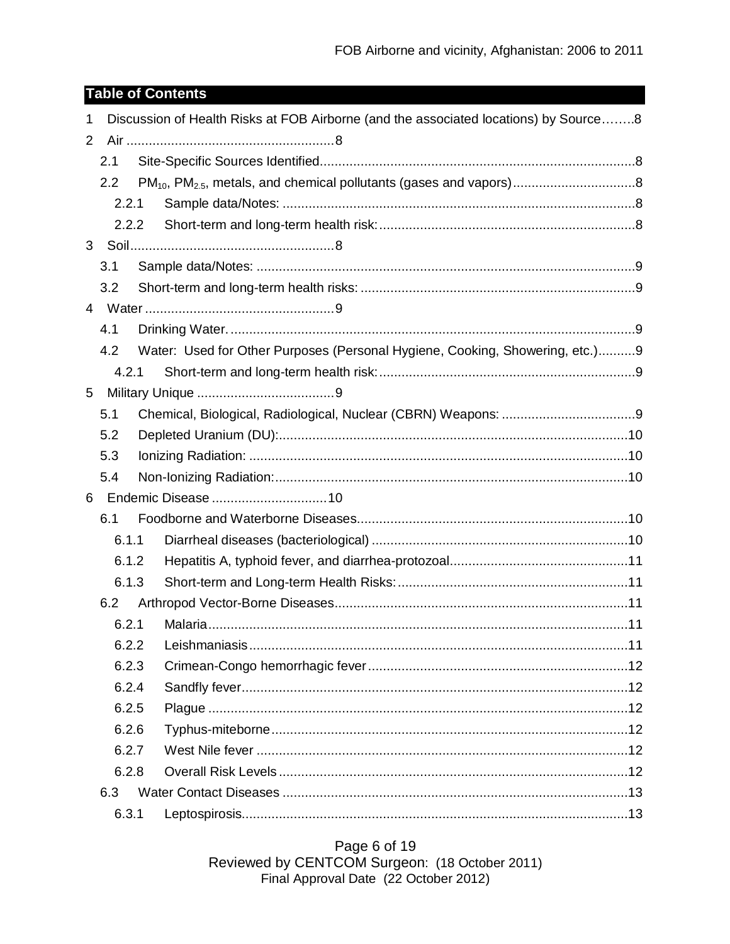# **Table of Contents**

| Discussion of Health Risks at FOB Airborne (and the associated locations) by Source8<br>1 |       |  |                                                                              |  |
|-------------------------------------------------------------------------------------------|-------|--|------------------------------------------------------------------------------|--|
| 2                                                                                         |       |  |                                                                              |  |
|                                                                                           | 2.1   |  |                                                                              |  |
|                                                                                           | 2.2   |  |                                                                              |  |
|                                                                                           | 2.2.1 |  |                                                                              |  |
|                                                                                           | 2.2.2 |  |                                                                              |  |
|                                                                                           |       |  |                                                                              |  |
|                                                                                           | 3.1   |  |                                                                              |  |
|                                                                                           | 3.2   |  |                                                                              |  |
|                                                                                           |       |  |                                                                              |  |
|                                                                                           | 4.1   |  |                                                                              |  |
|                                                                                           | 4.2   |  | Water: Used for Other Purposes (Personal Hygiene, Cooking, Showering, etc.)9 |  |
|                                                                                           | 4.2.1 |  |                                                                              |  |
| 5                                                                                         |       |  |                                                                              |  |
|                                                                                           | 5.1   |  |                                                                              |  |
|                                                                                           | 5.2   |  |                                                                              |  |
|                                                                                           | 5.3   |  |                                                                              |  |
|                                                                                           | 5.4   |  |                                                                              |  |
| 6                                                                                         |       |  |                                                                              |  |
|                                                                                           | 6.1   |  |                                                                              |  |
|                                                                                           | 6.1.1 |  |                                                                              |  |
|                                                                                           | 6.1.2 |  |                                                                              |  |
|                                                                                           | 6.1.3 |  |                                                                              |  |
|                                                                                           | 6.2   |  |                                                                              |  |
|                                                                                           | 6.2.1 |  |                                                                              |  |
|                                                                                           | 6.2.2 |  |                                                                              |  |
|                                                                                           | 6.2.3 |  |                                                                              |  |
|                                                                                           | 6.2.4 |  |                                                                              |  |
|                                                                                           | 6.2.5 |  |                                                                              |  |
|                                                                                           | 6.2.6 |  |                                                                              |  |
|                                                                                           | 6.2.7 |  |                                                                              |  |
|                                                                                           | 6.2.8 |  |                                                                              |  |
|                                                                                           | 6.3   |  |                                                                              |  |
|                                                                                           | 6.3.1 |  |                                                                              |  |

Page 6 of 19 Reviewed by CENTCOM Surgeon: (18 October 2011)<br>Final Approval Date (22 October 2012)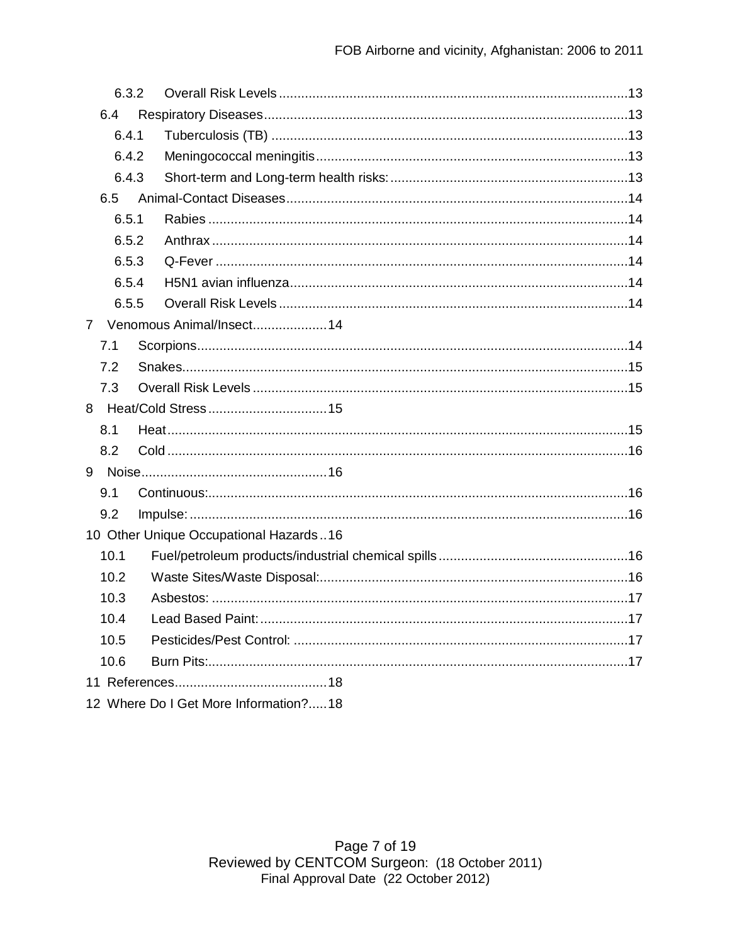| 6.3.2       |  |                                        |  |
|-------------|--|----------------------------------------|--|
| 6.4         |  |                                        |  |
| 6.4.1       |  |                                        |  |
| 6.4.2       |  |                                        |  |
| 6.4.3       |  |                                        |  |
| 6.5         |  |                                        |  |
| 6.5.1       |  |                                        |  |
| 6.5.2       |  |                                        |  |
| 6.5.3       |  |                                        |  |
| 6.5.4       |  |                                        |  |
| 6.5.5       |  |                                        |  |
| $7^{\circ}$ |  | Venomous Animal/Insect14               |  |
| 7.1         |  |                                        |  |
| 7.2         |  |                                        |  |
| 7.3         |  |                                        |  |
|             |  |                                        |  |
| 8.1         |  |                                        |  |
| 8.2         |  |                                        |  |
| 9           |  |                                        |  |
| 9.1         |  |                                        |  |
| 9.2         |  |                                        |  |
|             |  | 10 Other Unique Occupational Hazards16 |  |
| 10.1        |  |                                        |  |
| 10.2        |  |                                        |  |
| 10.3        |  |                                        |  |
| 10.4        |  |                                        |  |
| 10.5        |  |                                        |  |
| 10.6        |  |                                        |  |
|             |  |                                        |  |
|             |  | 12 Where Do I Get More Information?18  |  |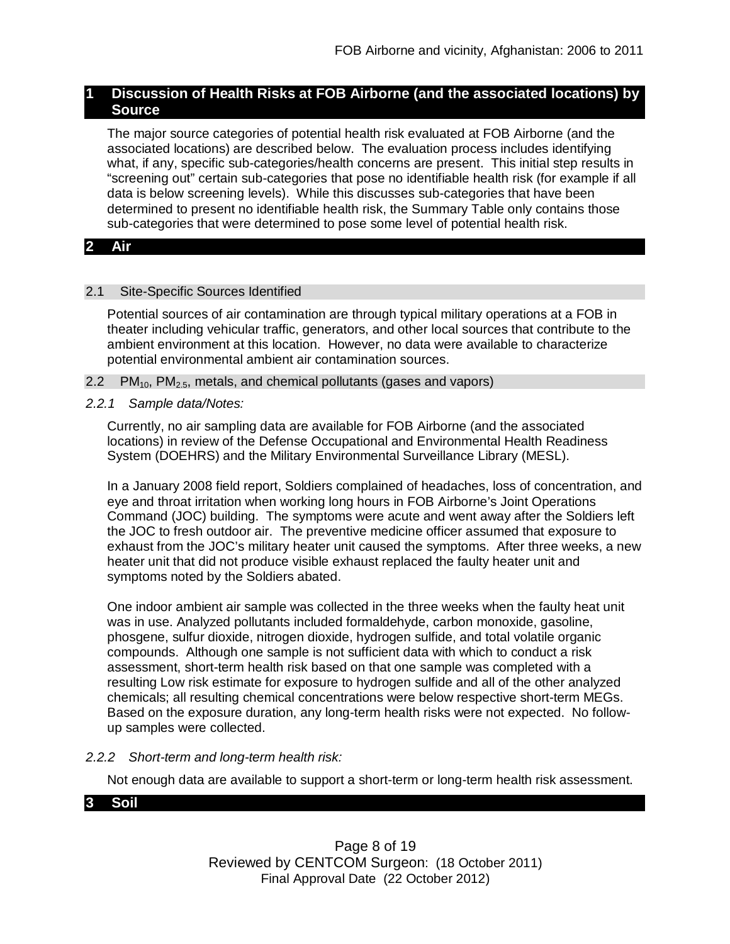## **1 Discussion of Health Risks at FOB Airborne (and the associated locations) by Source**

The major source categories of potential health risk evaluated at FOB Airborne (and the associated locations) are described below. The evaluation process includes identifying what, if any, specific sub-categories/health concerns are present. This initial step results in "screening out" certain sub-categories that pose no identifiable health risk (for example if all data is below screening levels). While this discusses sub-categories that have been determined to present no identifiable health risk, the Summary Table only contains those sub-categories that were determined to pose some level of potential health risk.

## **2 Air**

## 2.1 Site-Specific Sources Identified

Potential sources of air contamination are through typical military operations at a FOB in theater including vehicular traffic, generators, and other local sources that contribute to the ambient environment at this location. However, no data were available to characterize potential environmental ambient air contamination sources.

- 2.2  $PM_{10}$ ,  $PM_{2.5}$ , metals, and chemical pollutants (gases and vapors)
- *2.2.1 Sample data/Notes:*

Currently, no air sampling data are available for FOB Airborne (and the associated locations) in review of the Defense Occupational and Environmental Health Readiness System (DOEHRS) and the Military Environmental Surveillance Library (MESL).

In a January 2008 field report, Soldiers complained of headaches, loss of concentration, and eye and throat irritation when working long hours in FOB Airborne's Joint Operations Command (JOC) building. The symptoms were acute and went away after the Soldiers left the JOC to fresh outdoor air. The preventive medicine officer assumed that exposure to exhaust from the JOC's military heater unit caused the symptoms. After three weeks, a new heater unit that did not produce visible exhaust replaced the faulty heater unit and symptoms noted by the Soldiers abated.

One indoor ambient air sample was collected in the three weeks when the faulty heat unit was in use. Analyzed pollutants included formaldehyde, carbon monoxide, gasoline, phosgene, sulfur dioxide, nitrogen dioxide, hydrogen sulfide, and total volatile organic compounds. Although one sample is not sufficient data with which to conduct a risk assessment, short-term health risk based on that one sample was completed with a resulting Low risk estimate for exposure to hydrogen sulfide and all of the other analyzed chemicals; all resulting chemical concentrations were below respective short-term MEGs. Based on the exposure duration, any long-term health risks were not expected. No followup samples were collected.

## *2.2.2 Short-term and long-term health risk:*

Not enough data are available to support a short-term or long-term health risk assessment.

## **3 Soil**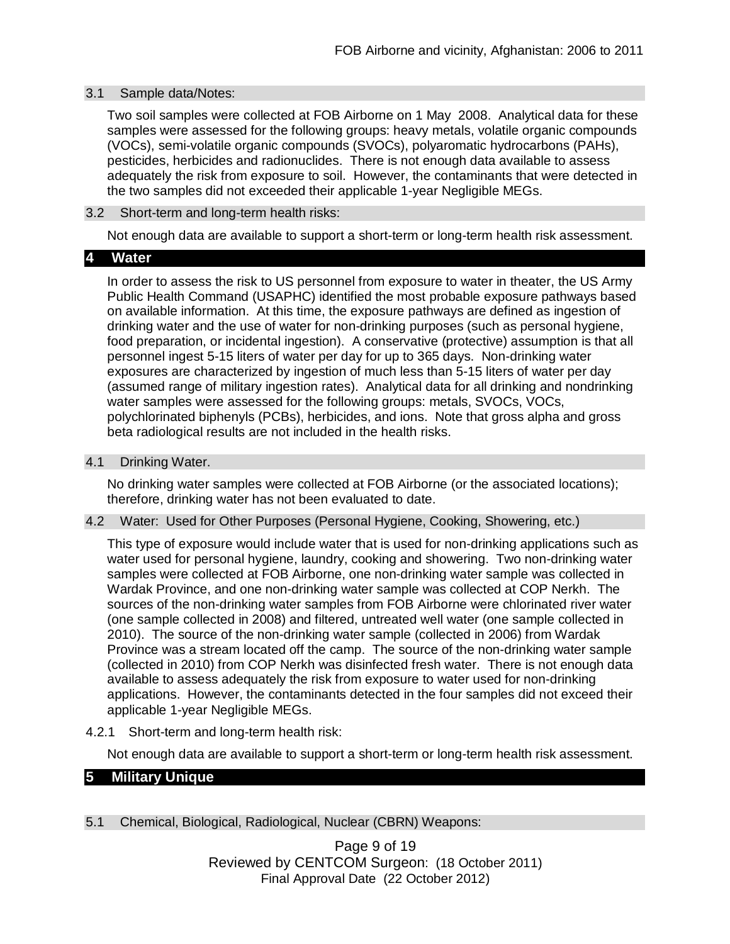## 3.1 Sample data/Notes:

Two soil samples were collected at FOB Airborne on 1 May 2008. Analytical data for these samples were assessed for the following groups: heavy metals, volatile organic compounds (VOCs), semi-volatile organic compounds (SVOCs), polyaromatic hydrocarbons (PAHs), pesticides, herbicides and radionuclides. There is not enough data available to assess adequately the risk from exposure to soil. However, the contaminants that were detected in the two samples did not exceeded their applicable 1-year Negligible MEGs.

## 3.2 Short-term and long-term health risks:

Not enough data are available to support a short-term or long-term health risk assessment.

## **4 Water**

In order to assess the risk to US personnel from exposure to water in theater, the US Army Public Health Command (USAPHC) identified the most probable exposure pathways based on available information. At this time, the exposure pathways are defined as ingestion of drinking water and the use of water for non-drinking purposes (such as personal hygiene, food preparation, or incidental ingestion). A conservative (protective) assumption is that all personnel ingest 5-15 liters of water per day for up to 365 days. Non-drinking water exposures are characterized by ingestion of much less than 5-15 liters of water per day (assumed range of military ingestion rates). Analytical data for all drinking and nondrinking water samples were assessed for the following groups: metals, SVOCs, VOCs, polychlorinated biphenyls (PCBs), herbicides, and ions. Note that gross alpha and gross beta radiological results are not included in the health risks.

#### 4.1 Drinking Water.

No drinking water samples were collected at FOB Airborne (or the associated locations); therefore, drinking water has not been evaluated to date.

#### 4.2 Water: Used for Other Purposes (Personal Hygiene, Cooking, Showering, etc.)

This type of exposure would include water that is used for non-drinking applications such as water used for personal hygiene, laundry, cooking and showering. Two non-drinking water samples were collected at FOB Airborne, one non-drinking water sample was collected in Wardak Province, and one non-drinking water sample was collected at COP Nerkh. The sources of the non-drinking water samples from FOB Airborne were chlorinated river water (one sample collected in 2008) and filtered, untreated well water (one sample collected in 2010). The source of the non-drinking water sample (collected in 2006) from Wardak Province was a stream located off the camp. The source of the non-drinking water sample (collected in 2010) from COP Nerkh was disinfected fresh water. There is not enough data available to assess adequately the risk from exposure to water used for non-drinking applications. However, the contaminants detected in the four samples did not exceed their applicable 1-year Negligible MEGs.

4.2.1 Short-term and long-term health risk:

Not enough data are available to support a short-term or long-term health risk assessment.

# **5 Military Unique**

5.1 Chemical, Biological, Radiological, Nuclear (CBRN) Weapons:

Page 9 of 19 Reviewed by CENTCOM Surgeon: (18 October 2011) Final Approval Date (22 October 2012)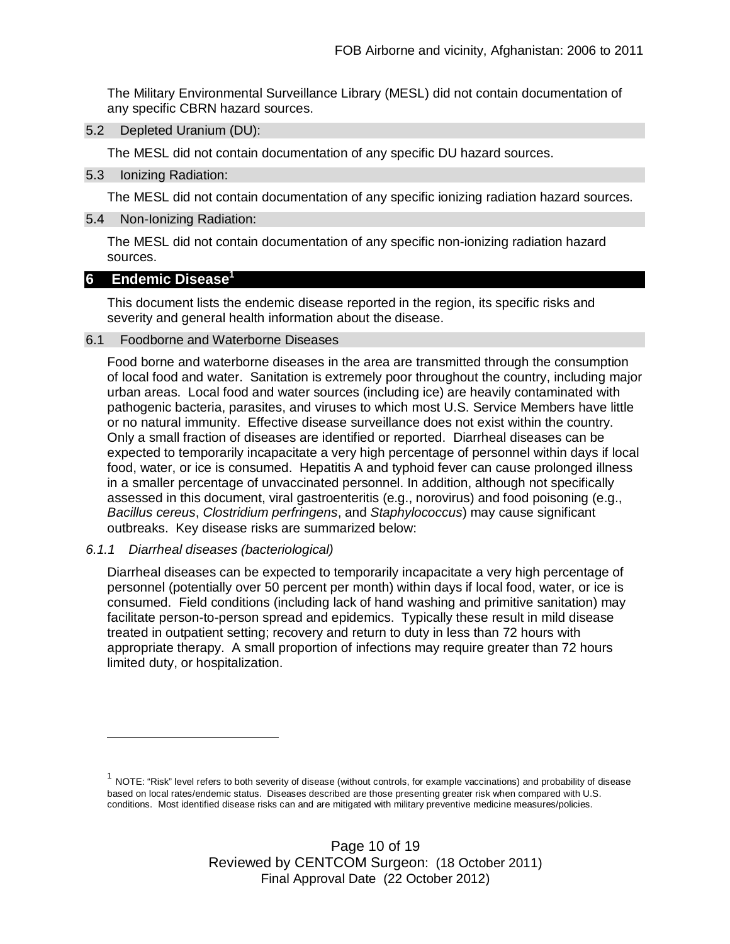The Military Environmental Surveillance Library (MESL) did not contain documentation of any specific CBRN hazard sources.

5.2 Depleted Uranium (DU):

The MESL did not contain documentation of any specific DU hazard sources.

5.3 Ionizing Radiation:

The MESL did not contain documentation of any specific ionizing radiation hazard sources.

5.4 Non-Ionizing Radiation:

The MESL did not contain documentation of any specific non-ionizing radiation hazard sources.

## **6 Endemic Disease<sup>1</sup>**

This document lists the endemic disease reported in the region, its specific risks and severity and general health information about the disease.

## 6.1 Foodborne and Waterborne Diseases

Food borne and waterborne diseases in the area are transmitted through the consumption of local food and water. Sanitation is extremely poor throughout the country, including major urban areas. Local food and water sources (including ice) are heavily contaminated with pathogenic bacteria, parasites, and viruses to which most U.S. Service Members have little or no natural immunity. Effective disease surveillance does not exist within the country. Only a small fraction of diseases are identified or reported. Diarrheal diseases can be expected to temporarily incapacitate a very high percentage of personnel within days if local food, water, or ice is consumed. Hepatitis A and typhoid fever can cause prolonged illness in a smaller percentage of unvaccinated personnel. In addition, although not specifically assessed in this document, viral gastroenteritis (e.g., norovirus) and food poisoning (e.g., *Bacillus cereus*, *Clostridium perfringens*, and *Staphylococcus*) may cause significant outbreaks. Key disease risks are summarized below:

*6.1.1 Diarrheal diseases (bacteriological)*

Diarrheal diseases can be expected to temporarily incapacitate a very high percentage of personnel (potentially over 50 percent per month) within days if local food, water, or ice is consumed. Field conditions (including lack of hand washing and primitive sanitation) may facilitate person-to-person spread and epidemics. Typically these result in mild disease treated in outpatient setting; recovery and return to duty in less than 72 hours with appropriate therapy. A small proportion of infections may require greater than 72 hours limited duty, or hospitalization.

 $^1$  NOTE: "Risk" level refers to both severity of disease (without controls, for example vaccinations) and probability of disease based on local rates/endemic status. Diseases described are those presenting greater risk when compared with U.S. conditions. Most identified disease risks can and are mitigated with military preventive medicine measures/policies.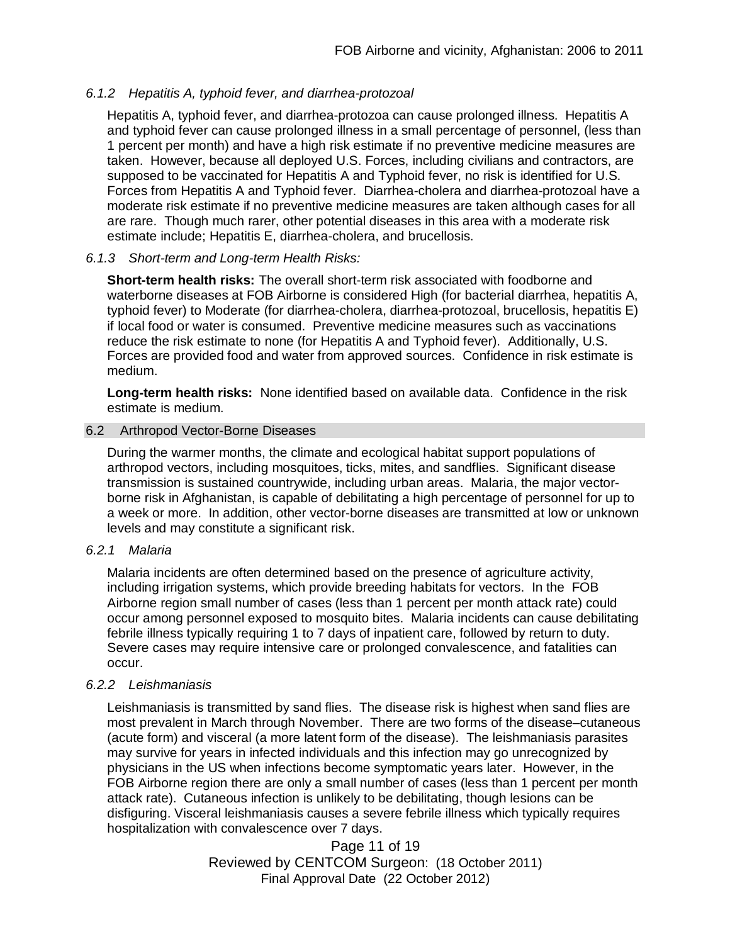## *6.1.2 Hepatitis A, typhoid fever, and diarrhea-protozoal*

Hepatitis A, typhoid fever, and diarrhea-protozoa can cause prolonged illness. Hepatitis A and typhoid fever can cause prolonged illness in a small percentage of personnel, (less than 1 percent per month) and have a high risk estimate if no preventive medicine measures are taken. However, because all deployed U.S. Forces, including civilians and contractors, are supposed to be vaccinated for Hepatitis A and Typhoid fever, no risk is identified for U.S. Forces from Hepatitis A and Typhoid fever. Diarrhea-cholera and diarrhea-protozoal have a moderate risk estimate if no preventive medicine measures are taken although cases for all are rare. Though much rarer, other potential diseases in this area with a moderate risk estimate include; Hepatitis E, diarrhea-cholera, and brucellosis.

## *6.1.3 Short-term and Long-term Health Risks:*

**Short-term health risks:** The overall short-term risk associated with foodborne and waterborne diseases at FOB Airborne is considered High (for bacterial diarrhea, hepatitis A, typhoid fever) to Moderate (for diarrhea-cholera, diarrhea-protozoal, brucellosis, hepatitis E) if local food or water is consumed. Preventive medicine measures such as vaccinations reduce the risk estimate to none (for Hepatitis A and Typhoid fever). Additionally, U.S. Forces are provided food and water from approved sources. Confidence in risk estimate is medium.

**Long-term health risks:** None identified based on available data. Confidence in the risk estimate is medium.

## 6.2 Arthropod Vector-Borne Diseases

During the warmer months, the climate and ecological habitat support populations of arthropod vectors, including mosquitoes, ticks, mites, and sandflies. Significant disease transmission is sustained countrywide, including urban areas. Malaria, the major vectorborne risk in Afghanistan, is capable of debilitating a high percentage of personnel for up to a week or more. In addition, other vector-borne diseases are transmitted at low or unknown levels and may constitute a significant risk.

## *6.2.1 Malaria*

Malaria incidents are often determined based on the presence of agriculture activity, including irrigation systems, which provide breeding habitats for vectors. In the FOB Airborne region small number of cases (less than 1 percent per month attack rate) could occur among personnel exposed to mosquito bites. Malaria incidents can cause debilitating febrile illness typically requiring 1 to 7 days of inpatient care, followed by return to duty. Severe cases may require intensive care or prolonged convalescence, and fatalities can occur.

## *6.2.2 Leishmaniasis*

Leishmaniasis is transmitted by sand flies. The disease risk is highest when sand flies are most prevalent in March through November. There are two forms of the disease–cutaneous (acute form) and visceral (a more latent form of the disease). The leishmaniasis parasites may survive for years in infected individuals and this infection may go unrecognized by physicians in the US when infections become symptomatic years later. However, in the FOB Airborne region there are only a small number of cases (less than 1 percent per month attack rate). Cutaneous infection is unlikely to be debilitating, though lesions can be disfiguring. Visceral leishmaniasis causes a severe febrile illness which typically requires hospitalization with convalescence over 7 days.

> Page 11 of 19 Reviewed by CENTCOM Surgeon: (18 October 2011) Final Approval Date (22 October 2012)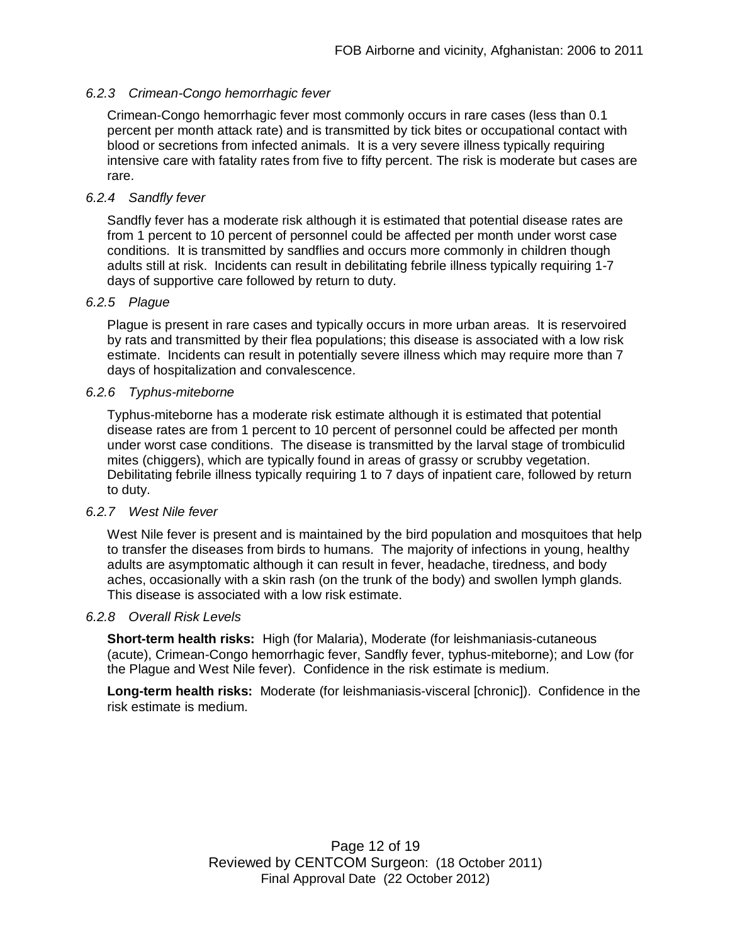## *6.2.3 Crimean-Congo hemorrhagic fever*

Crimean-Congo hemorrhagic fever most commonly occurs in rare cases (less than 0.1 percent per month attack rate) and is transmitted by tick bites or occupational contact with blood or secretions from infected animals. It is a very severe illness typically requiring intensive care with fatality rates from five to fifty percent. The risk is moderate but cases are rare.

## *6.2.4 Sandfly fever*

Sandfly fever has a moderate risk although it is estimated that potential disease rates are from 1 percent to 10 percent of personnel could be affected per month under worst case conditions. It is transmitted by sandflies and occurs more commonly in children though adults still at risk. Incidents can result in debilitating febrile illness typically requiring 1-7 days of supportive care followed by return to duty.

#### *6.2.5 Plague*

Plague is present in rare cases and typically occurs in more urban areas. It is reservoired by rats and transmitted by their flea populations; this disease is associated with a low risk estimate. Incidents can result in potentially severe illness which may require more than 7 days of hospitalization and convalescence.

## *6.2.6 Typhus-miteborne*

Typhus-miteborne has a moderate risk estimate although it is estimated that potential disease rates are from 1 percent to 10 percent of personnel could be affected per month under worst case conditions. The disease is transmitted by the larval stage of trombiculid mites (chiggers), which are typically found in areas of grassy or scrubby vegetation. Debilitating febrile illness typically requiring 1 to 7 days of inpatient care, followed by return to duty.

## *6.2.7 West Nile fever*

West Nile fever is present and is maintained by the bird population and mosquitoes that help to transfer the diseases from birds to humans. The majority of infections in young, healthy adults are asymptomatic although it can result in fever, headache, tiredness, and body aches, occasionally with a skin rash (on the trunk of the body) and swollen lymph glands. This disease is associated with a low risk estimate.

#### *6.2.8 Overall Risk Levels*

**Short-term health risks:** High (for Malaria), Moderate (for leishmaniasis-cutaneous (acute), Crimean-Congo hemorrhagic fever, Sandfly fever, typhus-miteborne); and Low (for the Plague and West Nile fever). Confidence in the risk estimate is medium.

**Long-term health risks:** Moderate (for leishmaniasis-visceral [chronic]). Confidence in the risk estimate is medium.

> Page 12 of 19 Reviewed by CENTCOM Surgeon: (18 October 2011) Final Approval Date (22 October 2012)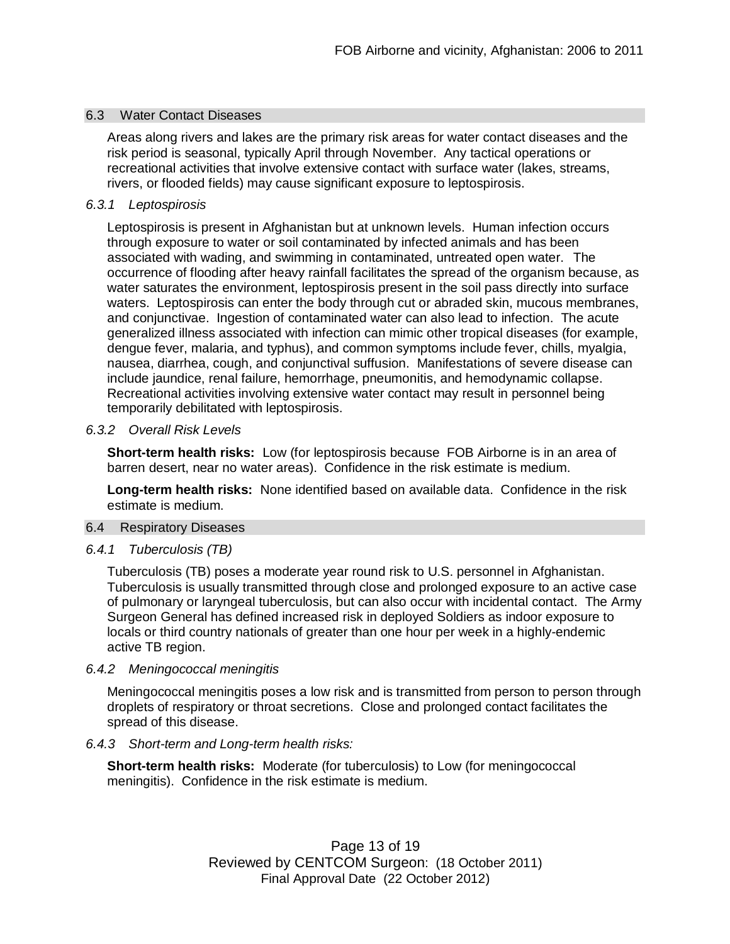## 6.3 Water Contact Diseases

Areas along rivers and lakes are the primary risk areas for water contact diseases and the risk period is seasonal, typically April through November. Any tactical operations or recreational activities that involve extensive contact with surface water (lakes, streams, rivers, or flooded fields) may cause significant exposure to leptospirosis.

### *6.3.1 Leptospirosis*

Leptospirosis is present in Afghanistan but at unknown levels. Human infection occurs through exposure to water or soil contaminated by infected animals and has been associated with wading, and swimming in contaminated, untreated open water. The occurrence of flooding after heavy rainfall facilitates the spread of the organism because, as water saturates the environment, leptospirosis present in the soil pass directly into surface waters. Leptospirosis can enter the body through cut or abraded skin, mucous membranes, and conjunctivae. Ingestion of contaminated water can also lead to infection. The acute generalized illness associated with infection can mimic other tropical diseases (for example, dengue fever, malaria, and typhus), and common symptoms include fever, chills, myalgia, nausea, diarrhea, cough, and conjunctival suffusion. Manifestations of severe disease can include jaundice, renal failure, hemorrhage, pneumonitis, and hemodynamic collapse. Recreational activities involving extensive water contact may result in personnel being temporarily debilitated with leptospirosis.

#### *6.3.2 Overall Risk Levels*

**Short-term health risks:** Low (for leptospirosis because FOB Airborne is in an area of barren desert, near no water areas). Confidence in the risk estimate is medium.

**Long-term health risks:** None identified based on available data. Confidence in the risk estimate is medium.

#### 6.4 Respiratory Diseases

#### *6.4.1 Tuberculosis (TB)*

Tuberculosis (TB) poses a moderate year round risk to U.S. personnel in Afghanistan. Tuberculosis is usually transmitted through close and prolonged exposure to an active case of pulmonary or laryngeal tuberculosis, but can also occur with incidental contact. The Army Surgeon General has defined increased risk in deployed Soldiers as indoor exposure to locals or third country nationals of greater than one hour per week in a highly-endemic active TB region.

#### *6.4.2 Meningococcal meningitis*

Meningococcal meningitis poses a low risk and is transmitted from person to person through droplets of respiratory or throat secretions. Close and prolonged contact facilitates the spread of this disease.

#### *6.4.3 Short-term and Long-term health risks:*

**Short-term health risks:** Moderate (for tuberculosis) to Low (for meningococcal meningitis). Confidence in the risk estimate is medium.

> Page 13 of 19 Reviewed by CENTCOM Surgeon: (18 October 2011) Final Approval Date (22 October 2012)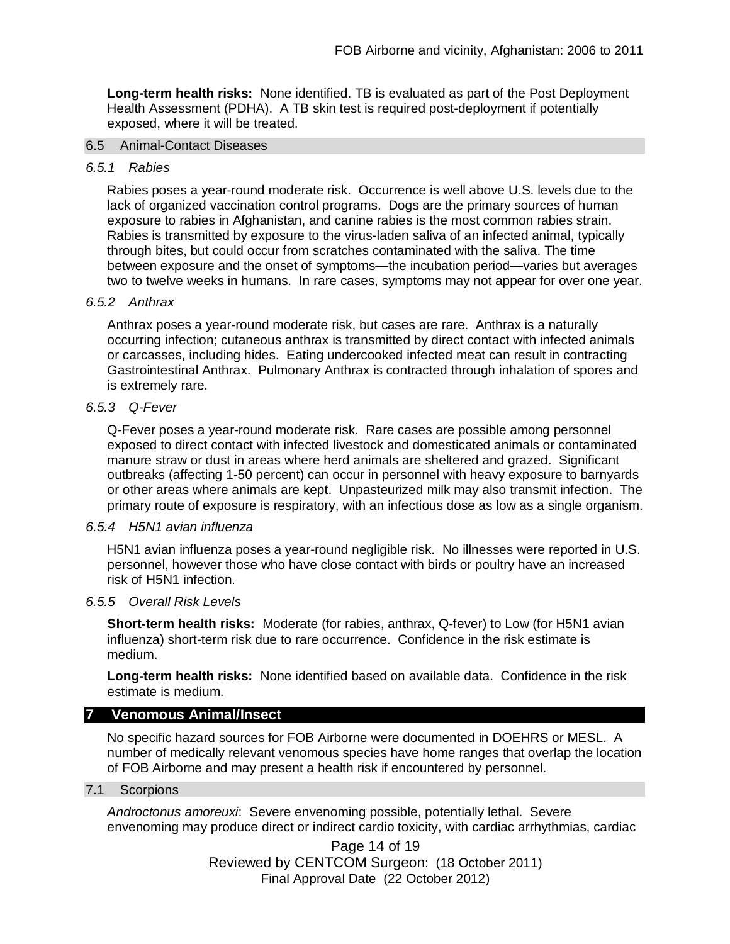**Long-term health risks:** None identified. TB is evaluated as part of the Post Deployment Health Assessment (PDHA). A TB skin test is required post-deployment if potentially exposed, where it will be treated.

#### 6.5 Animal-Contact Diseases

#### *6.5.1 Rabies*

Rabies poses a year-round moderate risk. Occurrence is well above U.S. levels due to the lack of organized vaccination control programs. Dogs are the primary sources of human exposure to rabies in Afghanistan, and canine rabies is the most common rabies strain. Rabies is transmitted by exposure to the virus-laden saliva of an infected animal, typically through bites, but could occur from scratches contaminated with the saliva. The time between exposure and the onset of symptoms—the incubation period—varies but averages two to twelve weeks in humans. In rare cases, symptoms may not appear for over one year.

#### *6.5.2 Anthrax*

Anthrax poses a year-round moderate risk, but cases are rare. Anthrax is a naturally occurring infection; cutaneous anthrax is transmitted by direct contact with infected animals or carcasses, including hides. Eating undercooked infected meat can result in contracting Gastrointestinal Anthrax. Pulmonary Anthrax is contracted through inhalation of spores and is extremely rare.

#### *6.5.3 Q-Fever*

Q-Fever poses a year-round moderate risk. Rare cases are possible among personnel exposed to direct contact with infected livestock and domesticated animals or contaminated manure straw or dust in areas where herd animals are sheltered and grazed. Significant outbreaks (affecting 1-50 percent) can occur in personnel with heavy exposure to barnyards or other areas where animals are kept. Unpasteurized milk may also transmit infection. The primary route of exposure is respiratory, with an infectious dose as low as a single organism.

#### *6.5.4 H5N1 avian influenza*

H5N1 avian influenza poses a year-round negligible risk. No illnesses were reported in U.S. personnel, however those who have close contact with birds or poultry have an increased risk of H5N1 infection.

#### *6.5.5 Overall Risk Levels*

**Short-term health risks:** Moderate (for rabies, anthrax, Q-fever) to Low (for H5N1 avian influenza) short-term risk due to rare occurrence. Confidence in the risk estimate is medium.

**Long-term health risks:** None identified based on available data. Confidence in the risk estimate is medium.

## **7 Venomous Animal/Insect**

No specific hazard sources for FOB Airborne were documented in DOEHRS or MESL. A number of medically relevant venomous species have home ranges that overlap the location of FOB Airborne and may present a health risk if encountered by personnel.

#### 7.1 Scorpions

*Androctonus amoreuxi*: Severe envenoming possible, potentially lethal. Severe envenoming may produce direct or indirect cardio toxicity, with cardiac arrhythmias, cardiac

> Page 14 of 19 Reviewed by CENTCOM Surgeon: (18 October 2011) Final Approval Date (22 October 2012)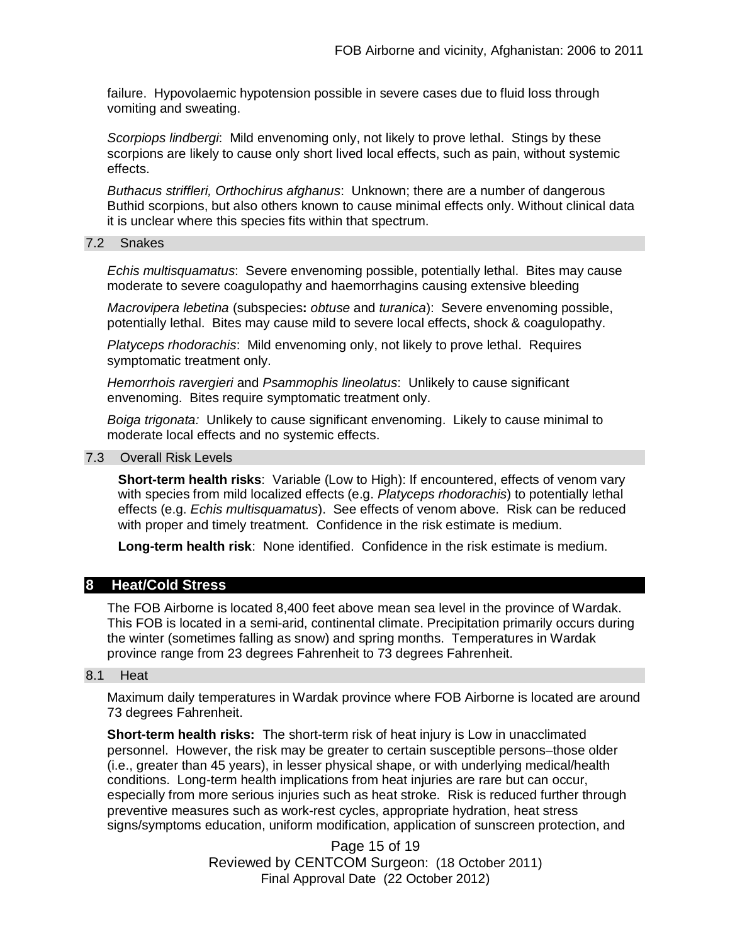failure. Hypovolaemic hypotension possible in severe cases due to fluid loss through vomiting and sweating.

*Scorpiops lindbergi*: Mild envenoming only, not likely to prove lethal. Stings by these scorpions are likely to cause only short lived local effects, such as pain, without systemic effects.

*Buthacus striffleri, Orthochirus afghanus*: Unknown; there are a number of dangerous Buthid scorpions, but also others known to cause minimal effects only. Without clinical data it is unclear where this species fits within that spectrum.

#### 7.2 Snakes

*Echis multisquamatus*: Severe envenoming possible, potentially lethal. Bites may cause moderate to severe coagulopathy and haemorrhagins causing extensive bleeding

*Macrovipera lebetina* (subspecies**:** *obtuse* and *turanica*): Severe envenoming possible, potentially lethal. Bites may cause mild to severe local effects, shock & coagulopathy.

*Platyceps rhodorachis*: Mild envenoming only, not likely to prove lethal. Requires symptomatic treatment only.

*Hemorrhois ravergieri* and *Psammophis lineolatus*: Unlikely to cause significant envenoming. Bites require symptomatic treatment only.

*Boiga trigonata:* Unlikely to cause significant envenoming. Likely to cause minimal to moderate local effects and no systemic effects.

#### 7.3 Overall Risk Levels

**Short-term health risks**: Variable (Low to High): If encountered, effects of venom vary with species from mild localized effects (e.g. *Platyceps rhodorachis*) to potentially lethal effects (e.g. *Echis multisquamatus*). See effects of venom above. Risk can be reduced with proper and timely treatment. Confidence in the risk estimate is medium.

**Long-term health risk**: None identified. Confidence in the risk estimate is medium.

#### **8 Heat/Cold Stress**

The FOB Airborne is located 8,400 feet above mean sea level in the province of Wardak. This FOB is located in a semi-arid, continental climate. Precipitation primarily occurs during the winter (sometimes falling as snow) and spring months. Temperatures in Wardak province range from 23 degrees Fahrenheit to 73 degrees Fahrenheit.

#### 8.1 Heat

Maximum daily temperatures in Wardak province where FOB Airborne is located are around 73 degrees Fahrenheit.

**Short-term health risks:** The short-term risk of heat injury is Low in unacclimated personnel. However, the risk may be greater to certain susceptible persons–those older (i.e., greater than 45 years), in lesser physical shape, or with underlying medical/health conditions. Long-term health implications from heat injuries are rare but can occur, especially from more serious injuries such as heat stroke. Risk is reduced further through preventive measures such as work-rest cycles, appropriate hydration, heat stress signs/symptoms education, uniform modification, application of sunscreen protection, and

> Page 15 of 19 Reviewed by CENTCOM Surgeon: (18 October 2011) Final Approval Date (22 October 2012)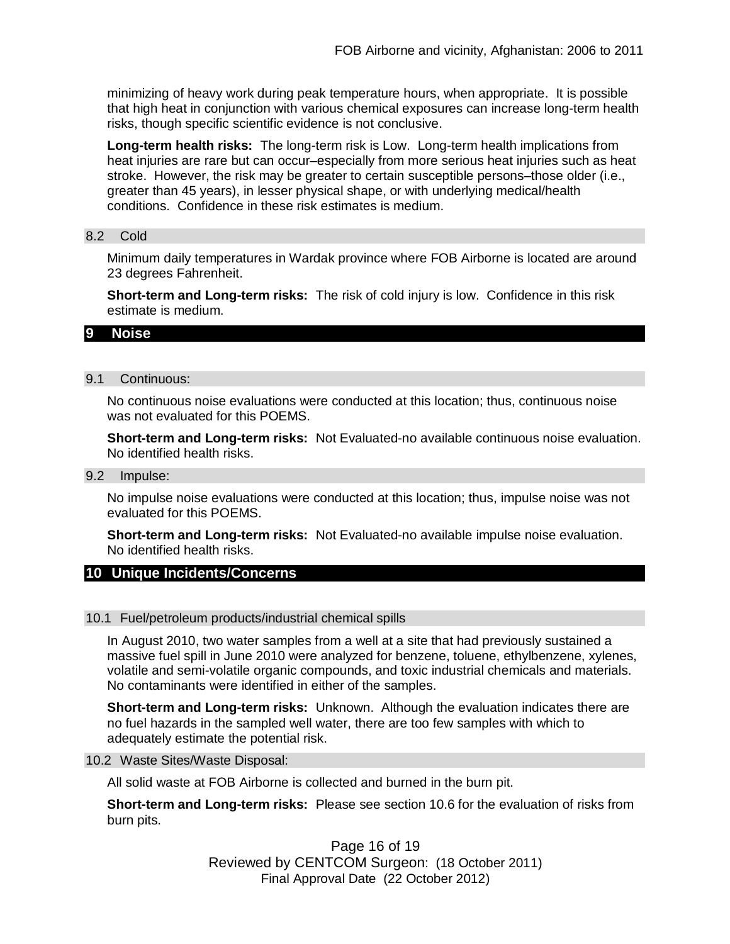minimizing of heavy work during peak temperature hours, when appropriate. It is possible that high heat in conjunction with various chemical exposures can increase long-term health risks, though specific scientific evidence is not conclusive.

**Long-term health risks:** The long-term risk is Low. Long-term health implications from heat injuries are rare but can occur–especially from more serious heat injuries such as heat stroke. However, the risk may be greater to certain susceptible persons–those older (i.e., greater than 45 years), in lesser physical shape, or with underlying medical/health conditions. Confidence in these risk estimates is medium.

#### 8.2 Cold

Minimum daily temperatures in Wardak province where FOB Airborne is located are around 23 degrees Fahrenheit.

**Short-term and Long-term risks:** The risk of cold injury is low. Confidence in this risk estimate is medium.

#### **9 Noise**

#### 9.1 Continuous:

No continuous noise evaluations were conducted at this location; thus, continuous noise was not evaluated for this POEMS.

**Short-term and Long-term risks:** Not Evaluated-no available continuous noise evaluation. No identified health risks.

#### 9.2 Impulse:

No impulse noise evaluations were conducted at this location; thus, impulse noise was not evaluated for this POEMS.

**Short-term and Long-term risks:** Not Evaluated-no available impulse noise evaluation. No identified health risks.

## **10 Unique Incidents/Concerns**

#### 10.1 Fuel/petroleum products/industrial chemical spills

In August 2010, two water samples from a well at a site that had previously sustained a massive fuel spill in June 2010 were analyzed for benzene, toluene, ethylbenzene, xylenes, volatile and semi-volatile organic compounds, and toxic industrial chemicals and materials. No contaminants were identified in either of the samples.

**Short-term and Long-term risks:** Unknown. Although the evaluation indicates there are no fuel hazards in the sampled well water, there are too few samples with which to adequately estimate the potential risk.

#### 10.2 Waste Sites/Waste Disposal:

All solid waste at FOB Airborne is collected and burned in the burn pit.

**Short-term and Long-term risks:** Please see section 10.6 for the evaluation of risks from burn pits.

> Page 16 of 19 Reviewed by CENTCOM Surgeon: (18 October 2011) Final Approval Date (22 October 2012)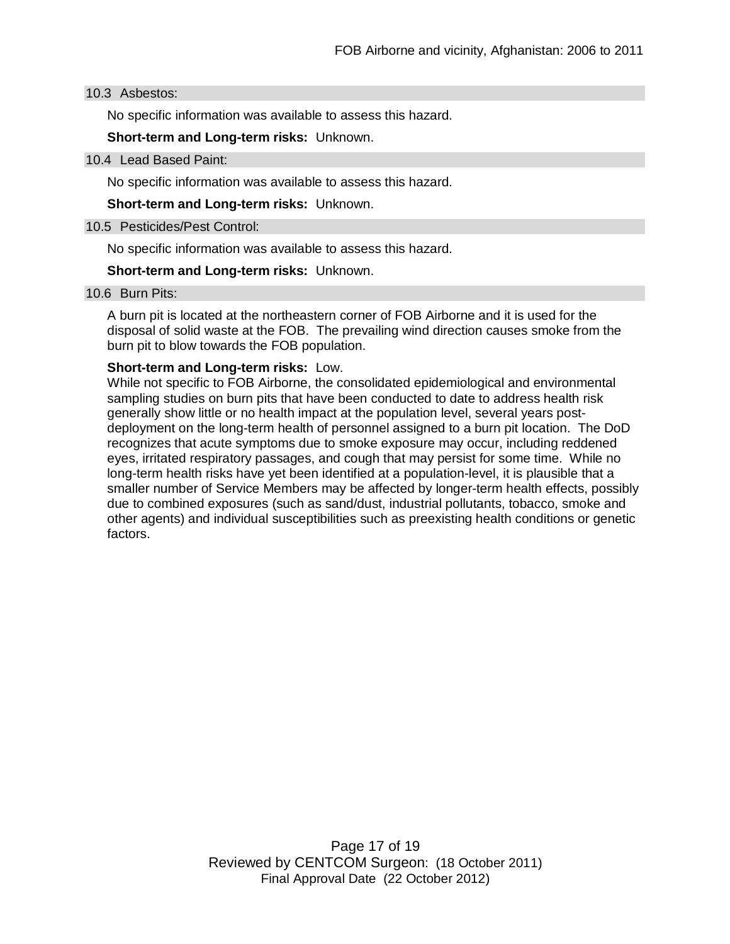#### 10.3 Asbestos:

No specific information was available to assess this hazard.

**Short-term and Long-term risks:** Unknown.

#### 10.4 Lead Based Paint:

No specific information was available to assess this hazard.

**Short-term and Long-term risks:** Unknown.

#### 10.5 Pesticides/Pest Control:

No specific information was available to assess this hazard.

#### **Short-term and Long-term risks:** Unknown.

#### 10.6 Burn Pits:

A burn pit is located at the northeastern corner of FOB Airborne and it is used for the disposal of solid waste at the FOB. The prevailing wind direction causes smoke from the burn pit to blow towards the FOB population.

## **Short-term and Long-term risks:** Low.

While not specific to FOB Airborne, the consolidated epidemiological and environmental sampling studies on burn pits that have been conducted to date to address health risk generally show little or no health impact at the population level, several years postdeployment on the long-term health of personnel assigned to a burn pit location. The DoD recognizes that acute symptoms due to smoke exposure may occur, including reddened eyes, irritated respiratory passages, and cough that may persist for some time. While no long-term health risks have yet been identified at a population-level, it is plausible that a smaller number of Service Members may be affected by longer-term health effects, possibly due to combined exposures (such as sand/dust, industrial pollutants, tobacco, smoke and other agents) and individual susceptibilities such as preexisting health conditions or genetic factors.

> Page 17 of 19 Reviewed by CENTCOM Surgeon: (18 October 2011) Final Approval Date (22 October 2012)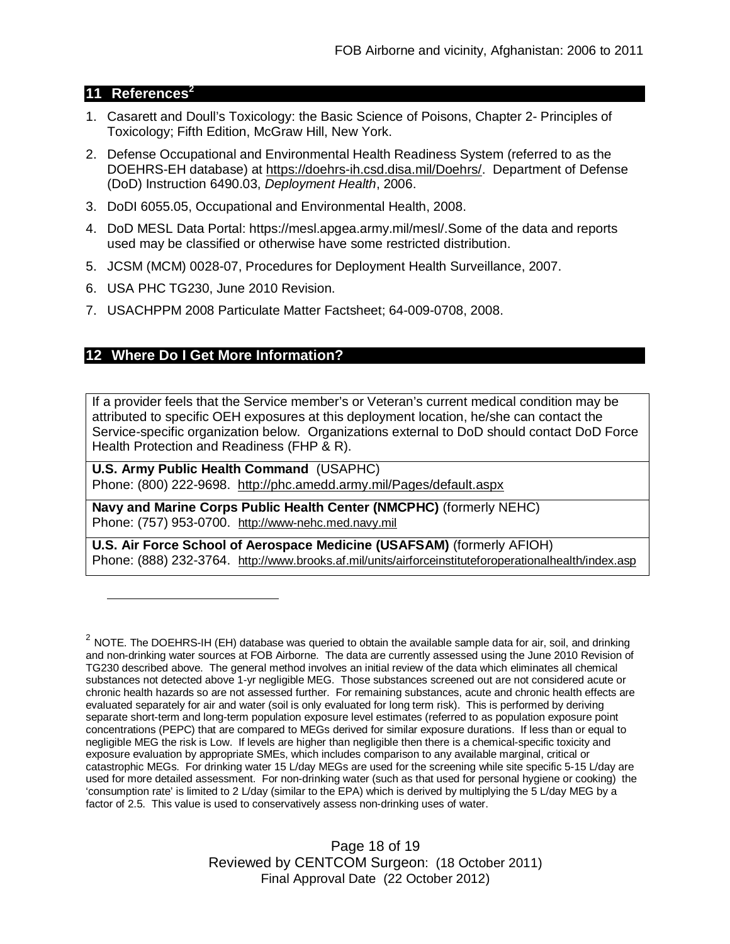## **11 References<sup>2</sup>**

- 1. Casarett and Doull's Toxicology: the Basic Science of Poisons, Chapter 2- Principles of Toxicology; Fifth Edition, McGraw Hill, New York.
- 2. Defense Occupational and Environmental Health Readiness System (referred to as the DOEHRS-EH database) at https://doehrs-ih.csd.disa.mil/Doehrs/. Department of Defense (DoD) Instruction 6490.03, *Deployment Health*, 2006.
- 3. DoDI 6055.05, Occupational and Environmental Health, 2008.
- 4. DoD MESL Data Portal: https://mesl.apgea.army.mil/mesl/.Some of the data and reports used may be classified or otherwise have some restricted distribution.
- 5. JCSM (MCM) 0028-07, Procedures for Deployment Health Surveillance, 2007.
- 6. USA PHC TG230, June 2010 Revision.
- 7. USACHPPM 2008 Particulate Matter Factsheet; 64-009-0708, 2008.

## **12 Where Do I Get More Information?**

If a provider feels that the Service member's or Veteran's current medical condition may be attributed to specific OEH exposures at this deployment location, he/she can contact the Service-specific organization below. Organizations external to DoD should contact DoD Force Health Protection and Readiness (FHP & R).

**U.S. Army Public Health Command** (USAPHC) Phone: (800) 222-9698. http://phc.amedd.army.mil/Pages/default.aspx

**Navy and Marine Corps Public Health Center (NMCPHC)** (formerly NEHC) Phone: (757) 953-0700. http://www-nehc.med.navy.mil

**U.S. Air Force School of Aerospace Medicine (USAFSAM)** (formerly AFIOH) Phone: (888) 232-3764. http://www.brooks.af.mil/units/airforceinstituteforoperationalhealth/index.asp

Page 18 of 19 Reviewed by CENTCOM Surgeon: (18 October 2011) Final Approval Date (22 October 2012)

 $^2$  NOTE. The DOEHRS-IH (EH) database was queried to obtain the available sample data for air, soil, and drinking and non-drinking water sources at FOB Airborne. The data are currently assessed using the June 2010 Revision of TG230 described above. The general method involves an initial review of the data which eliminates all chemical substances not detected above 1-yr negligible MEG. Those substances screened out are not considered acute or chronic health hazards so are not assessed further. For remaining substances, acute and chronic health effects are evaluated separately for air and water (soil is only evaluated for long term risk). This is performed by deriving separate short-term and long-term population exposure level estimates (referred to as population exposure point concentrations (PEPC) that are compared to MEGs derived for similar exposure durations. If less than or equal to negligible MEG the risk is Low. If levels are higher than negligible then there is a chemical-specific toxicity and exposure evaluation by appropriate SMEs, which includes comparison to any available marginal, critical or catastrophic MEGs. For drinking water 15 L/day MEGs are used for the screening while site specific 5-15 L/day are used for more detailed assessment. For non-drinking water (such as that used for personal hygiene or cooking) the 'consumption rate' is limited to 2 L/day (similar to the EPA) which is derived by multiplying the 5 L/day MEG by a factor of 2.5. This value is used to conservatively assess non-drinking uses of water.